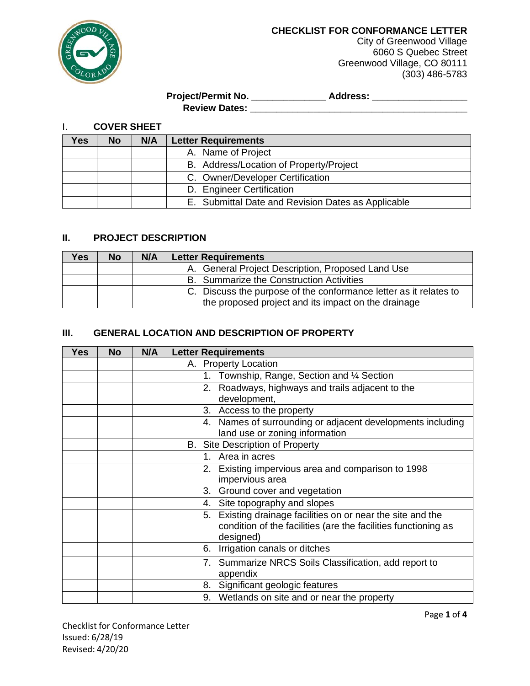

**CHECKLIST FOR CONFORMANCE LETTER**

City of Greenwood Village 6060 S Quebec Street Greenwood Village, CO 80111 (303) 486-5783

**Project/Permit No. \_\_\_\_\_\_\_\_\_\_\_\_\_\_ Address: \_\_\_\_\_\_\_\_\_\_\_\_\_\_\_\_\_\_ Review Dates: \_\_\_\_\_\_\_\_\_\_\_\_\_\_\_\_\_\_\_\_\_\_\_\_\_\_\_\_\_\_\_\_\_\_\_\_\_\_\_\_\_**

I. **COVER SHEET**

| res ( | No. | N/A | <b>Letter Requirements</b>                         |
|-------|-----|-----|----------------------------------------------------|
|       |     |     | A. Name of Project                                 |
|       |     |     | B. Address/Location of Property/Project            |
|       |     |     | C. Owner/Developer Certification                   |
|       |     |     | D. Engineer Certification                          |
|       |     |     | E. Submittal Date and Revision Dates as Applicable |

## **II. PROJECT DESCRIPTION**

| Yes. | <b>No</b> | N/A | <b>Letter Requirements</b>                                        |
|------|-----------|-----|-------------------------------------------------------------------|
|      |           |     | A. General Project Description, Proposed Land Use                 |
|      |           |     | B. Summarize the Construction Activities                          |
|      |           |     | C. Discuss the purpose of the conformance letter as it relates to |
|      |           |     | the proposed project and its impact on the drainage               |

## **III. GENERAL LOCATION AND DESCRIPTION OF PROPERTY**

| <b>Yes</b> | <b>No</b> | N/A | <b>Letter Requirements</b>                                     |
|------------|-----------|-----|----------------------------------------------------------------|
|            |           |     | A. Property Location                                           |
|            |           |     | Township, Range, Section and 1/4 Section<br>1.                 |
|            |           |     | 2. Roadways, highways and trails adjacent to the               |
|            |           |     | development,                                                   |
|            |           |     | 3. Access to the property                                      |
|            |           |     | 4. Names of surrounding or adjacent developments including     |
|            |           |     | land use or zoning information                                 |
|            |           |     | <b>B.</b> Site Description of Property                         |
|            |           |     | Area in acres<br>1.                                            |
|            |           |     | 2. Existing impervious area and comparison to 1998             |
|            |           |     | impervious area                                                |
|            |           |     | 3. Ground cover and vegetation                                 |
|            |           |     | 4. Site topography and slopes                                  |
|            |           |     | 5. Existing drainage facilities on or near the site and the    |
|            |           |     | condition of the facilities (are the facilities functioning as |
|            |           |     | designed)                                                      |
|            |           |     | Irrigation canals or ditches<br>6.                             |
|            |           |     | 7. Summarize NRCS Soils Classification, add report to          |
|            |           |     | appendix                                                       |
|            |           |     | 8. Significant geologic features                               |
|            |           |     | 9. Wetlands on site and or near the property                   |

Checklist for Conformance Letter Issued: 6/28/19 Revised: 4/20/20

Page **1** of **4**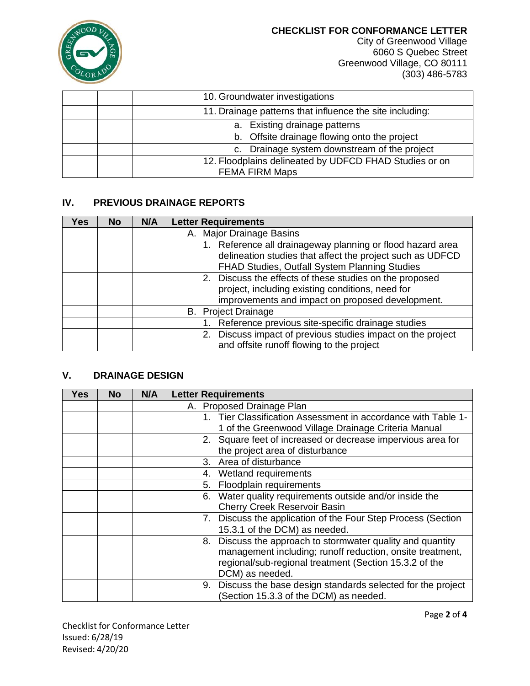

**CHECKLIST FOR CONFORMANCE LETTER**

City of Greenwood Village 6060 S Quebec Street Greenwood Village, CO 80111 (303) 486-5783

| 10. Groundwater investigations                           |
|----------------------------------------------------------|
| 11. Drainage patterns that influence the site including: |
| a. Existing drainage patterns                            |
| b. Offsite drainage flowing onto the project             |
| c. Drainage system downstream of the project             |
| 12. Floodplains delineated by UDFCD FHAD Studies or on   |
| <b>FEMA FIRM Maps</b>                                    |

# **IV. PREVIOUS DRAINAGE REPORTS**

| Yes | No. | N/A | <b>Letter Requirements</b>                                                                                                                                               |
|-----|-----|-----|--------------------------------------------------------------------------------------------------------------------------------------------------------------------------|
|     |     |     | A. Major Drainage Basins                                                                                                                                                 |
|     |     |     | 1. Reference all drainageway planning or flood hazard area<br>delineation studies that affect the project such as UDFCD<br>FHAD Studies, Outfall System Planning Studies |
|     |     |     | 2. Discuss the effects of these studies on the proposed<br>project, including existing conditions, need for<br>improvements and impact on proposed development.          |
|     |     |     | <b>B.</b> Project Drainage                                                                                                                                               |
|     |     |     | 1. Reference previous site-specific drainage studies                                                                                                                     |
|     |     |     | 2. Discuss impact of previous studies impact on the project<br>and offsite runoff flowing to the project                                                                 |

# **V. DRAINAGE DESIGN**

| <b>Yes</b> | <b>No</b> | N/A | <b>Letter Requirements</b>                                       |
|------------|-----------|-----|------------------------------------------------------------------|
|            |           |     | A. Proposed Drainage Plan                                        |
|            |           |     | 1. Tier Classification Assessment in accordance with Table 1-    |
|            |           |     | 1 of the Greenwood Village Drainage Criteria Manual              |
|            |           |     | 2. Square feet of increased or decrease impervious area for      |
|            |           |     | the project area of disturbance                                  |
|            |           |     | 3. Area of disturbance                                           |
|            |           |     | 4. Wetland requirements                                          |
|            |           |     | Floodplain requirements<br>5.                                    |
|            |           |     | Water quality requirements outside and/or inside the<br>6.       |
|            |           |     | <b>Cherry Creek Reservoir Basin</b>                              |
|            |           |     | 7. Discuss the application of the Four Step Process (Section     |
|            |           |     | 15.3.1 of the DCM) as needed.                                    |
|            |           |     | 8. Discuss the approach to stormwater quality and quantity       |
|            |           |     | management including; runoff reduction, onsite treatment,        |
|            |           |     | regional/sub-regional treatment (Section 15.3.2 of the           |
|            |           |     | DCM) as needed.                                                  |
|            |           |     | Discuss the base design standards selected for the project<br>9. |
|            |           |     | (Section 15.3.3 of the DCM) as needed.                           |

Checklist for Conformance Letter Issued: 6/28/19 Revised: 4/20/20

Page **2** of **4**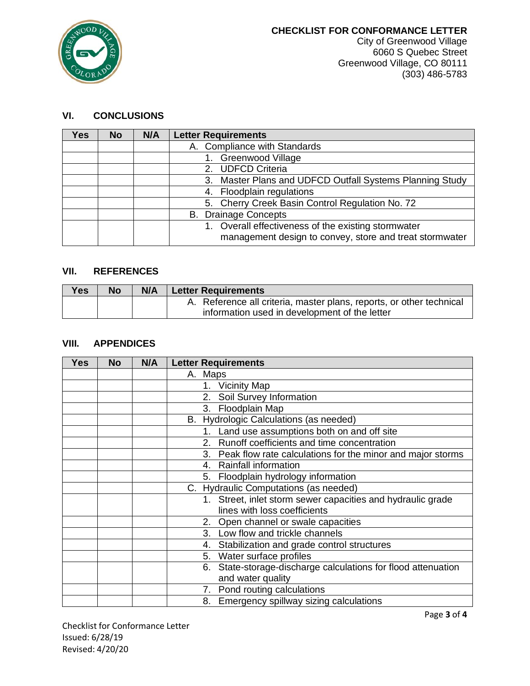

# **VI. CONCLUSIONS**

| Yes | <b>No</b> | N/A | <b>Letter Requirements</b>                                                                                     |
|-----|-----------|-----|----------------------------------------------------------------------------------------------------------------|
|     |           |     | A. Compliance with Standards                                                                                   |
|     |           |     | <b>Greenwood Village</b>                                                                                       |
|     |           |     | 2. UDFCD Criteria                                                                                              |
|     |           |     | 3. Master Plans and UDFCD Outfall Systems Planning Study                                                       |
|     |           |     | 4. Floodplain regulations                                                                                      |
|     |           |     | 5. Cherry Creek Basin Control Regulation No. 72                                                                |
|     |           |     | <b>B.</b> Drainage Concepts                                                                                    |
|     |           |     | 1. Overall effectiveness of the existing stormwater<br>management design to convey, store and treat stormwater |

## **VII. REFERENCES**

| <b>Yes</b> | <b>No</b> | N/A | <b>Letter Requirements</b>                                           |
|------------|-----------|-----|----------------------------------------------------------------------|
|            |           |     | A. Reference all criteria, master plans, reports, or other technical |
|            |           |     | information used in development of the letter                        |

# **VIII. APPENDICES**

| Yes | <b>No</b> | N/A | <b>Letter Requirements</b>                                       |
|-----|-----------|-----|------------------------------------------------------------------|
|     |           |     | A. Maps                                                          |
|     |           |     | <b>Vicinity Map</b><br>1.                                        |
|     |           |     | 2. Soil Survey Information                                       |
|     |           |     | 3. Floodplain Map                                                |
|     |           |     | B. Hydrologic Calculations (as needed)                           |
|     |           |     | Land use assumptions both on and off site<br>1.                  |
|     |           |     | 2. Runoff coefficients and time concentration                    |
|     |           |     | 3. Peak flow rate calculations for the minor and major storms    |
|     |           |     | <b>Rainfall information</b><br>4.                                |
|     |           |     | 5. Floodplain hydrology information                              |
|     |           |     | C. Hydraulic Computations (as needed)                            |
|     |           |     | Street, inlet storm sewer capacities and hydraulic grade<br>1.   |
|     |           |     | lines with loss coefficients                                     |
|     |           |     | 2. Open channel or swale capacities                              |
|     |           |     | Low flow and trickle channels<br>3.                              |
|     |           |     | Stabilization and grade control structures<br>4.                 |
|     |           |     | 5. Water surface profiles                                        |
|     |           |     | State-storage-discharge calculations for flood attenuation<br>6. |
|     |           |     | and water quality                                                |
|     |           |     | 7. Pond routing calculations                                     |
|     |           |     | 8. Emergency spillway sizing calculations                        |